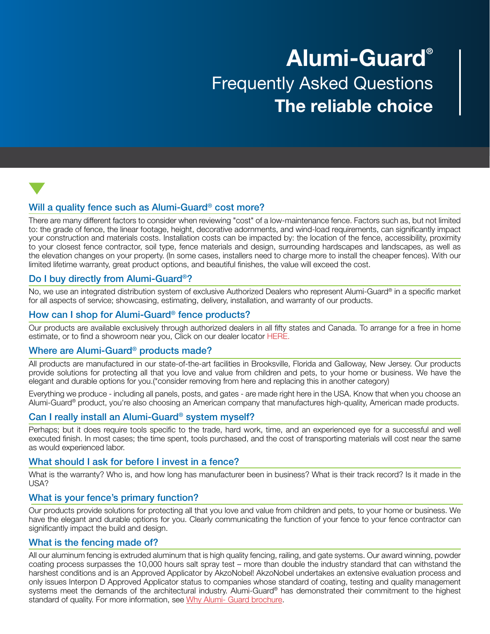# Alumi-Guard® Frequently Asked Questions The reliable choice

# Will a quality fence such as Alumi-Guard<sup>®</sup> cost more?

There are many different factors to consider when reviewing "cost" of a low-maintenance fence. Factors such as, but not limited to: the grade of fence, the linear footage, height, decorative adornments, and wind-load requirements, can significantly impact your construction and materials costs. Installation costs can be impacted by: the location of the fence, accessibility, proximity to your closest fence contractor, soil type, fence materials and design, surrounding hardscapes and landscapes, as well as the elevation changes on your property. (In some cases, installers need to charge more to install the cheaper fences). With our limited lifetime warranty, great product options, and beautiful finishes, the value will exceed the cost.

# Do I buy directly from Alumi-Guard®?

No, we use an integrated distribution system of exclusive Authorized Dealers who represent Alumi-Guard® in a specific market for all aspects of service; showcasing, estimating, delivery, installation, and warranty of our products.

# How can I shop for Alumi-Guard® fence products?

Our products are available exclusively through authorized dealers in all fifty states and Canada. To arrange for a free in home estimate, or to find a showroom near you, Click on our dealer locator HERE.

#### Where are Alumi-Guard® products made?

All products are manufactured in our state-of-the-art facilities in Brooksville, Florida and Galloway, New Jersey. Our products provide solutions for protecting all that you love and value from children and pets, to your home or business. We have the elegant and durable options for you.(\*consider removing from here and replacing this in another category)

Everything we produce - including all panels, posts, and gates - are made right here in the USA. Know that when you choose an Alumi-Guard® product, you're also choosing an American company that manufactures high-quality, American made products.

# Can I really install an Alumi-Guard® system myself?

Perhaps; but it does require tools specific to the trade, hard work, time, and an experienced eye for a successful and well executed finish. In most cases; the time spent, tools purchased, and the cost of transporting materials will cost near the same as would experienced labor.

#### What should I ask for before I invest in a fence?

What is the warranty? Who is, and how long has manufacturer been in business? What is their track record? Is it made in the USA?

#### What is your fence's primary function?

Our products provide solutions for protecting all that you love and value from children and pets, to your home or business. We have the elegant and durable options for you. Clearly communicating the function of your fence to your fence contractor can significantly impact the build and design.

#### What is the fencing made of?

All our aluminum fencing is extruded aluminum that is high quality fencing, railing, and gate systems. Our award winning, powder coating process surpasses the 10,000 hours salt spray test – more than double the industry standard that can withstand the harshest conditions and is an Approved Applicator by AkzoNobel! AkzoNobel undertakes an extensive evaluation process and only issues Interpon D Approved Applicator status to companies whose standard of coating, testing and quality management systems meet the demands of the architectural industry. Alumi-Guard® has demonstrated their commitment to the highest standard of quality. For more information, see Why Alumi- Guard brochure.